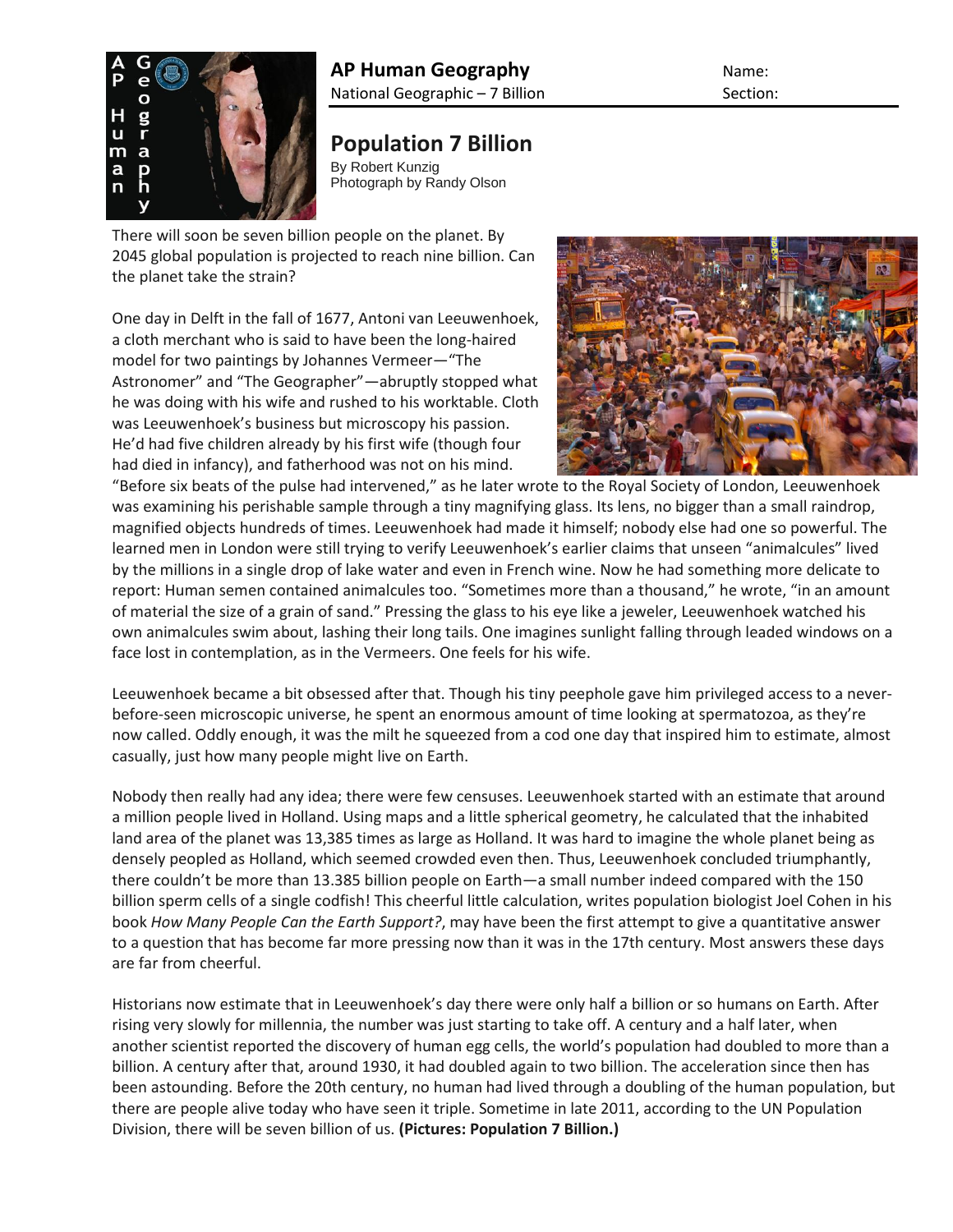

## **Population 7 Billion**

By Robert Kunzig Photograph by Randy Olson

There will soon be seven billion people on the planet. By 2045 global population is projected to reach nine billion. Can the planet take the strain?

One day in Delft in the fall of 1677, Antoni van Leeuwenhoek, a cloth merchant who is said to have been the long-haired model for two paintings by Johannes Vermeer—"The Astronomer" and "The Geographer"—abruptly stopped what he was doing with his wife and rushed to his worktable. Cloth was Leeuwenhoek's business but microscopy his passion. He'd had five children already by his first wife (though four had died in infancy), and fatherhood was not on his mind.



"Before six beats of the pulse had intervened," as he later wrote to the Royal Society of London, Leeuwenhoek was examining his perishable sample through a tiny magnifying glass. Its lens, no bigger than a small raindrop, magnified objects hundreds of times. Leeuwenhoek had made it himself; nobody else had one so powerful. The learned men in London were still trying to verify Leeuwenhoek's earlier claims that unseen "animalcules" lived by the millions in a single drop of lake water and even in French wine. Now he had something more delicate to report: Human semen contained animalcules too. "Sometimes more than a thousand," he wrote, "in an amount of material the size of a grain of sand." Pressing the glass to his eye like a jeweler, Leeuwenhoek watched his own animalcules swim about, lashing their long tails. One imagines sunlight falling through leaded windows on a face lost in contemplation, as in the Vermeers. One feels for his wife.

Leeuwenhoek became a bit obsessed after that. Though his tiny peephole gave him privileged access to a neverbefore-seen microscopic universe, he spent an enormous amount of time looking at spermatozoa, as they're now called. Oddly enough, it was the milt he squeezed from a cod one day that inspired him to estimate, almost casually, just how many people might live on Earth.

Nobody then really had any idea; there were few censuses. Leeuwenhoek started with an estimate that around a million people lived in Holland. Using maps and a little spherical geometry, he calculated that the inhabited land area of the planet was 13,385 times as large as Holland. It was hard to imagine the whole planet being as densely peopled as Holland, which seemed crowded even then. Thus, Leeuwenhoek concluded triumphantly, there couldn't be more than 13.385 billion people on Earth—a small number indeed compared with the 150 billion sperm cells of a single codfish! This cheerful little calculation, writes population biologist Joel Cohen in his book *How Many People Can the Earth Support?*, may have been the first attempt to give a quantitative answer to a question that has become far more pressing now than it was in the 17th century. Most answers these days are far from cheerful.

Historians now estimate that in Leeuwenhoek's day there were only half a billion or so humans on Earth. After rising very slowly for millennia, the number was just starting to take off. A century and a half later, when another scientist reported the discovery of human egg cells, the world's population had doubled to more than a billion. A century after that, around 1930, it had doubled again to two billion. The acceleration since then has been astounding. Before the 20th century, no human had lived through a doubling of the human population, but there are people alive today who have seen it triple. Sometime in late 2011, according to the UN Population Division, there will be seven billion of us. **[\(Pictures: Population 7 Billion.\)](http://ngm.nationalgeographic.com/2011/01/seven-billion/olson-photography)**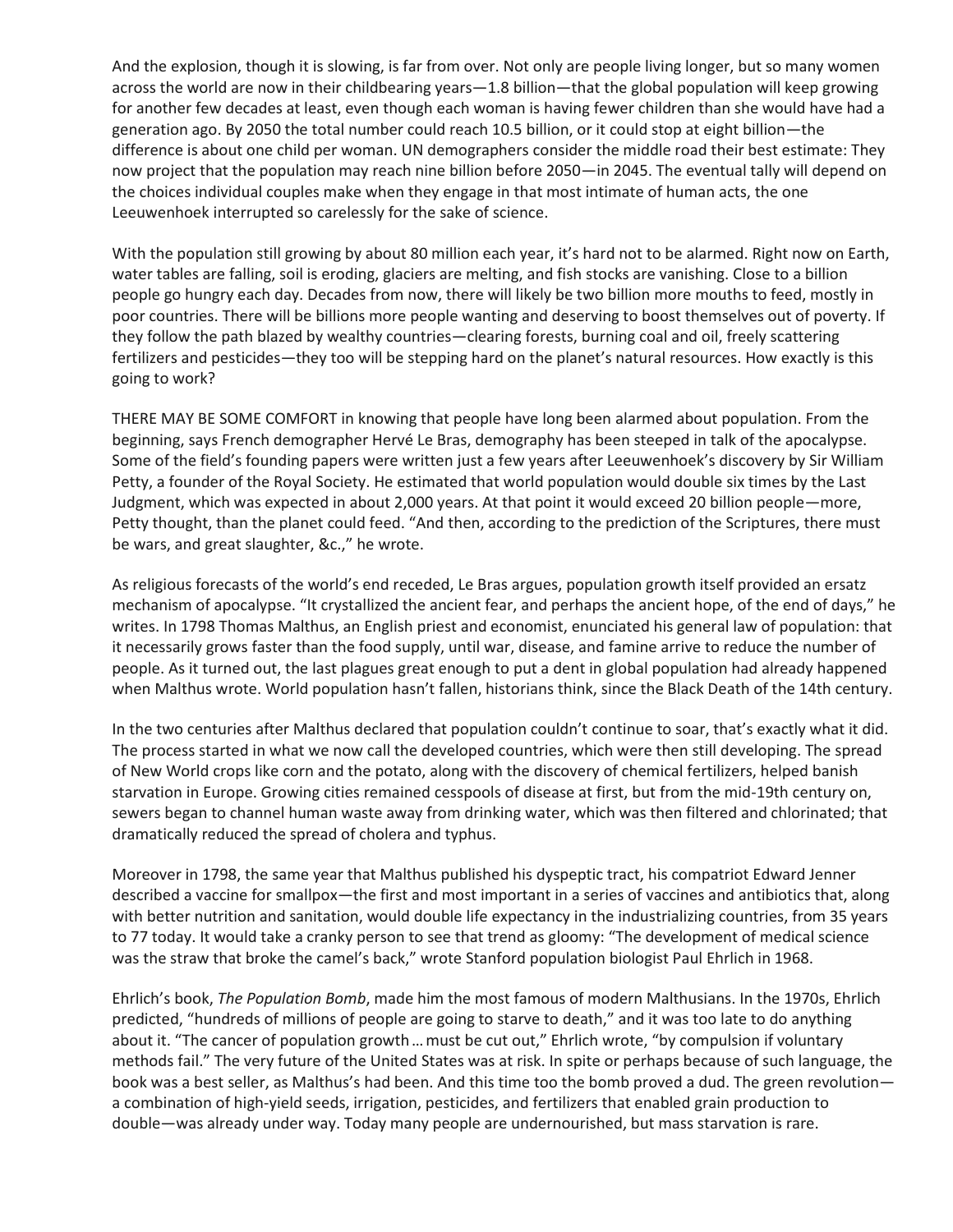And the explosion, though it is slowing, is far from over. Not only are people living longer, but so many women across the world are now in their childbearing years—1.8 billion—that the global population will keep growing for another few decades at least, even though each woman is having fewer children than she would have had a generation ago. By 2050 the total number could reach 10.5 billion, or it could stop at eight billion—the difference is about one child per woman. UN demographers consider the middle road their best estimate: They now project that the population may reach nine billion before 2050—in 2045. The eventual tally will depend on the choices individual couples make when they engage in that most intimate of human acts, the one Leeuwenhoek interrupted so carelessly for the sake of science.

With the population still growing by about 80 million each year, it's hard not to be alarmed. Right now on Earth, water tables are falling, soil is eroding, glaciers are melting, and fish stocks are vanishing. Close to a billion people go hungry each day. Decades from now, there will likely be two billion more mouths to feed, mostly in poor countries. There will be billions more people wanting and deserving to boost themselves out of poverty. If they follow the path blazed by wealthy countries—clearing forests, burning coal and oil, freely scattering fertilizers and pesticides—they too will be stepping hard on the planet's natural resources. How exactly is this going to work?

THERE MAY BE SOME COMFORT in knowing that people have long been alarmed about population. From the beginning, says French demographer Hervé Le Bras, demography has been steeped in talk of the apocalypse. Some of the field's founding papers were written just a few years after Leeuwenhoek's discovery by Sir William Petty, a founder of the Royal Society. He estimated that world population would double six times by the Last Judgment, which was expected in about 2,000 years. At that point it would exceed 20 billion people—more, Petty thought, than the planet could feed. "And then, according to the prediction of the Scriptures, there must be wars, and great slaughter, &c.," he wrote.

As religious forecasts of the world's end receded, Le Bras argues, population growth itself provided an ersatz mechanism of apocalypse. "It crystallized the ancient fear, and perhaps the ancient hope, of the end of days," he writes. In 1798 Thomas Malthus, an English priest and economist, enunciated his general law of population: that it necessarily grows faster than the food supply, until war, disease, and famine arrive to reduce the number of people. As it turned out, the last plagues great enough to put a dent in global population had already happened when Malthus wrote. World population hasn't fallen, historians think, since the Black Death of the 14th century.

In the two centuries after Malthus declared that population couldn't continue to soar, that's exactly what it did. The process started in what we now call the developed countries, which were then still developing. The spread of New World crops like corn and the potato, along with the discovery of chemical fertilizers, helped banish starvation in Europe. Growing cities remained cesspools of disease at first, but from the mid-19th century on, sewers began to channel human waste away from drinking water, which was then filtered and chlorinated; that dramatically reduced the spread of cholera and typhus.

Moreover in 1798, the same year that Malthus published his dyspeptic tract, his compatriot Edward Jenner described a vaccine for smallpox—the first and most important in a series of vaccines and antibiotics that, along with better nutrition and sanitation, would double life expectancy in the industrializing countries, from 35 years to 77 today. It would take a cranky person to see that trend as gloomy: "The development of medical science was the straw that broke the camel's back," wrote Stanford population biologist Paul Ehrlich in 1968.

Ehrlich's book, *The Population Bomb*, made him the most famous of modern Malthusians. In the 1970s, Ehrlich predicted, "hundreds of millions of people are going to starve to death," and it was too late to do anything about it. "The cancer of population growth ... must be cut out," Ehrlich wrote, "by compulsion if voluntary methods fail." The very future of the United States was at risk. In spite or perhaps because of such language, the book was a best seller, as Malthus's had been. And this time too the bomb proved a dud. The green revolution a combination of high-yield seeds, irrigation, pesticides, and fertilizers that enabled grain production to double—was already under way. Today many people are undernourished, but mass starvation is rare.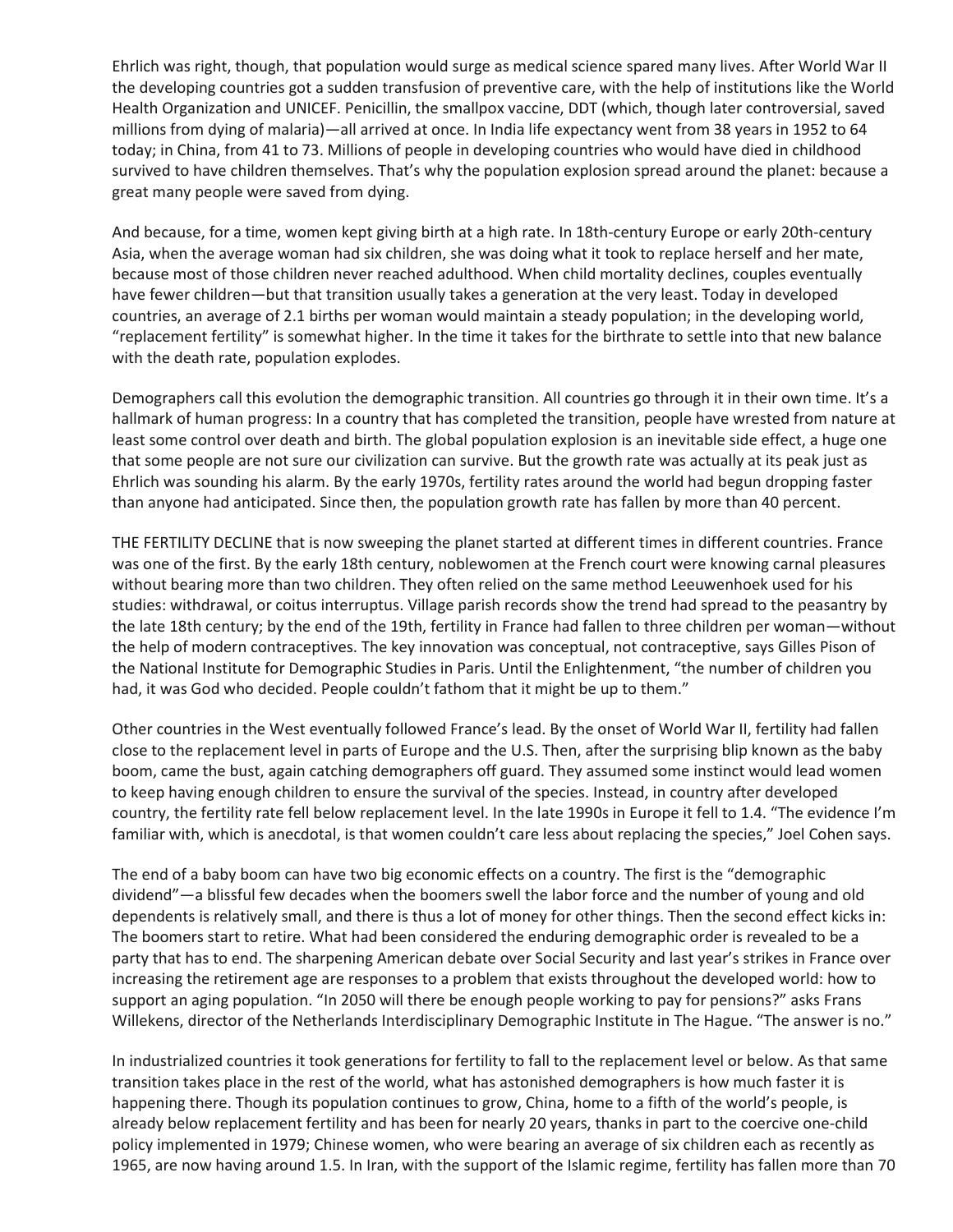Ehrlich was right, though, that population would surge as medical science spared many lives. After World War II the developing countries got a sudden transfusion of preventive care, with the help of institutions like the World Health Organization and UNICEF. Penicillin, the smallpox vaccine, DDT (which, though later controversial, saved millions from dying of malaria)—all arrived at once. In India life expectancy went from 38 years in 1952 to 64 today; in China, from 41 to 73. Millions of people in developing countries who would have died in childhood survived to have children themselves. That's why the population explosion spread around the planet: because a great many people were saved from dying.

And because, for a time, women kept giving birth at a high rate. In 18th-century Europe or early 20th-century Asia, when the average woman had six children, she was doing what it took to replace herself and her mate, because most of those children never reached adulthood. When child mortality declines, couples eventually have fewer children—but that transition usually takes a generation at the very least. Today in developed countries, an average of 2.1 births per woman would maintain a steady population; in the developing world, "replacement fertility" is somewhat higher. In the time it takes for the birthrate to settle into that new balance with the death rate, population explodes.

Demographers call this evolution the demographic transition. All countries go through it in their own time. It's a hallmark of human progress: In a country that has completed the transition, people have wrested from nature at least some control over death and birth. The global population explosion is an inevitable side effect, a huge one that some people are not sure our civilization can survive. But the growth rate was actually at its peak just as Ehrlich was sounding his alarm. By the early 1970s, fertility rates around the world had begun dropping faster than anyone had anticipated. Since then, the population growth rate has fallen by more than 40 percent.

THE FERTILITY DECLINE that is now sweeping the planet started at different times in different countries. France was one of the first. By the early 18th century, noblewomen at the French court were knowing carnal pleasures without bearing more than two children. They often relied on the same method Leeuwenhoek used for his studies: withdrawal, or coitus interruptus. Village parish records show the trend had spread to the peasantry by the late 18th century; by the end of the 19th, fertility in France had fallen to three children per woman—without the help of modern contraceptives. The key innovation was conceptual, not contraceptive, says Gilles Pison of the National Institute for Demographic Studies in Paris. Until the Enlightenment, "the number of children you had, it was God who decided. People couldn't fathom that it might be up to them."

Other countries in the West eventually followed France's lead. By the onset of World War II, fertility had fallen close to the replacement level in parts of Europe and the U.S. Then, after the surprising blip known as the baby boom, came the bust, again catching demographers off guard. They assumed some instinct would lead women to keep having enough children to ensure the survival of the species. Instead, in country after developed country, the fertility rate fell below replacement level. In the late 1990s in Europe it fell to 1.4. "The evidence I'm familiar with, which is anecdotal, is that women couldn't care less about replacing the species," Joel Cohen says.

The end of a baby boom can have two big economic effects on a country. The first is the "demographic dividend"—a blissful few decades when the boomers swell the labor force and the number of young and old dependents is relatively small, and there is thus a lot of money for other things. Then the second effect kicks in: The boomers start to retire. What had been considered the enduring demographic order is revealed to be a party that has to end. The sharpening American debate over Social Security and last year's strikes in France over increasing the retirement age are responses to a problem that exists throughout the developed world: how to support an aging population. "In 2050 will there be enough people working to pay for pensions?" asks Frans Willekens, director of the Netherlands Interdisciplinary Demographic Institute in The Hague. "The answer is no."

In industrialized countries it took generations for fertility to fall to the replacement level or below. As that same transition takes place in the rest of the world, what has astonished demographers is how much faster it is happening there. Though its population continues to grow, China, home to a fifth of the world's people, is already below replacement fertility and has been for nearly 20 years, thanks in part to the coercive one-child policy implemented in 1979; Chinese women, who were bearing an average of six children each as recently as 1965, are now having around 1.5. In Iran, with the support of the Islamic regime, fertility has fallen more than 70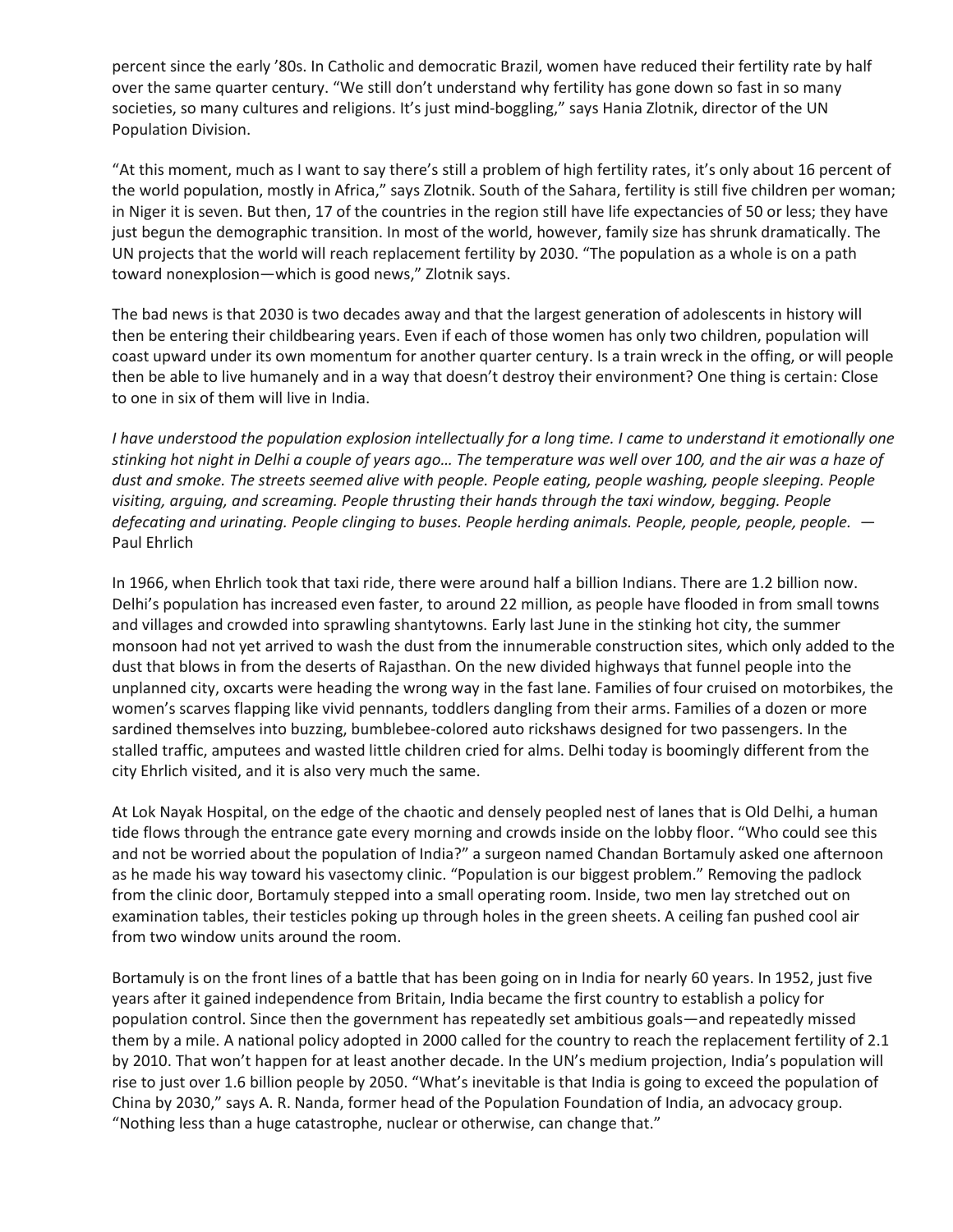percent since the early '80s. In Catholic and democratic Brazil, women have reduced their fertility rate by half over the same quarter century. "We still don't understand why fertility has gone down so fast in so many societies, so many cultures and religions. It's just mind-boggling," says Hania Zlotnik, director of the UN Population Division.

"At this moment, much as I want to say there's still a problem of high fertility rates, it's only about 16 percent of the world population, mostly in Africa," says Zlotnik. South of the Sahara, fertility is still five children per woman; in Niger it is seven. But then, 17 of the countries in the region still have life expectancies of 50 or less; they have just begun the demographic transition. In most of the world, however, family size has shrunk dramatically. The UN projects that the world will reach replacement fertility by 2030. "The population as a whole is on a path toward nonexplosion—which is good news," Zlotnik says.

The bad news is that 2030 is two decades away and that the largest generation of adolescents in history will then be entering their childbearing years. Even if each of those women has only two children, population will coast upward under its own momentum for another quarter century. Is a train wreck in the offing, or will people then be able to live humanely and in a way that doesn't destroy their environment? One thing is certain: Close to one in six of them will live in India.

*I* have understood the population explosion intellectually for a long time. I came to understand it emotionally one *stinking hot night in Delhi a couple of years ago… The temperature was well over 100, and the air was a haze of dust and smoke. The streets seemed alive with people. People eating, people washing, people sleeping. People visiting, arguing, and screaming. People thrusting their hands through the taxi window, begging. People defecating and urinating. People clinging to buses. People herding animals. People, people, people, people.* — Paul Ehrlich

In 1966, when Ehrlich took that taxi ride, there were around half a billion Indians. There are 1.2 billion now. Delhi's population has increased even faster, to around 22 million, as people have flooded in from small towns and villages and crowded into sprawling shantytowns. Early last June in the stinking hot city, the summer monsoon had not yet arrived to wash the dust from the innumerable construction sites, which only added to the dust that blows in from the deserts of Rajasthan. On the new divided highways that funnel people into the unplanned city, oxcarts were heading the wrong way in the fast lane. Families of four cruised on motorbikes, the women's scarves flapping like vivid pennants, toddlers dangling from their arms. Families of a dozen or more sardined themselves into buzzing, bumblebee-colored auto rickshaws designed for two passengers. In the stalled traffic, amputees and wasted little children cried for alms. Delhi today is boomingly different from the city Ehrlich visited, and it is also very much the same.

At Lok Nayak Hospital, on the edge of the chaotic and densely peopled nest of lanes that is Old Delhi, a human tide flows through the entrance gate every morning and crowds inside on the lobby floor. "Who could see this and not be worried about the population of India?" a surgeon named Chandan Bortamuly asked one afternoon as he made his way toward his vasectomy clinic. "Population is our biggest problem." Removing the padlock from the clinic door, Bortamuly stepped into a small operating room. Inside, two men lay stretched out on examination tables, their testicles poking up through holes in the green sheets. A ceiling fan pushed cool air from two window units around the room.

Bortamuly is on the front lines of a battle that has been going on in India for nearly 60 years. In 1952, just five years after it gained independence from Britain, India became the first country to establish a policy for population control. Since then the government has repeatedly set ambitious goals—and repeatedly missed them by a mile. A national policy adopted in 2000 called for the country to reach the replacement fertility of 2.1 by 2010. That won't happen for at least another decade. In the UN's medium projection, India's population will rise to just over 1.6 billion people by 2050. "What's inevitable is that India is going to exceed the population of China by 2030," says A. R. Nanda, former head of the Population Foundation of India, an advocacy group. "Nothing less than a huge catastrophe, nuclear or otherwise, can change that."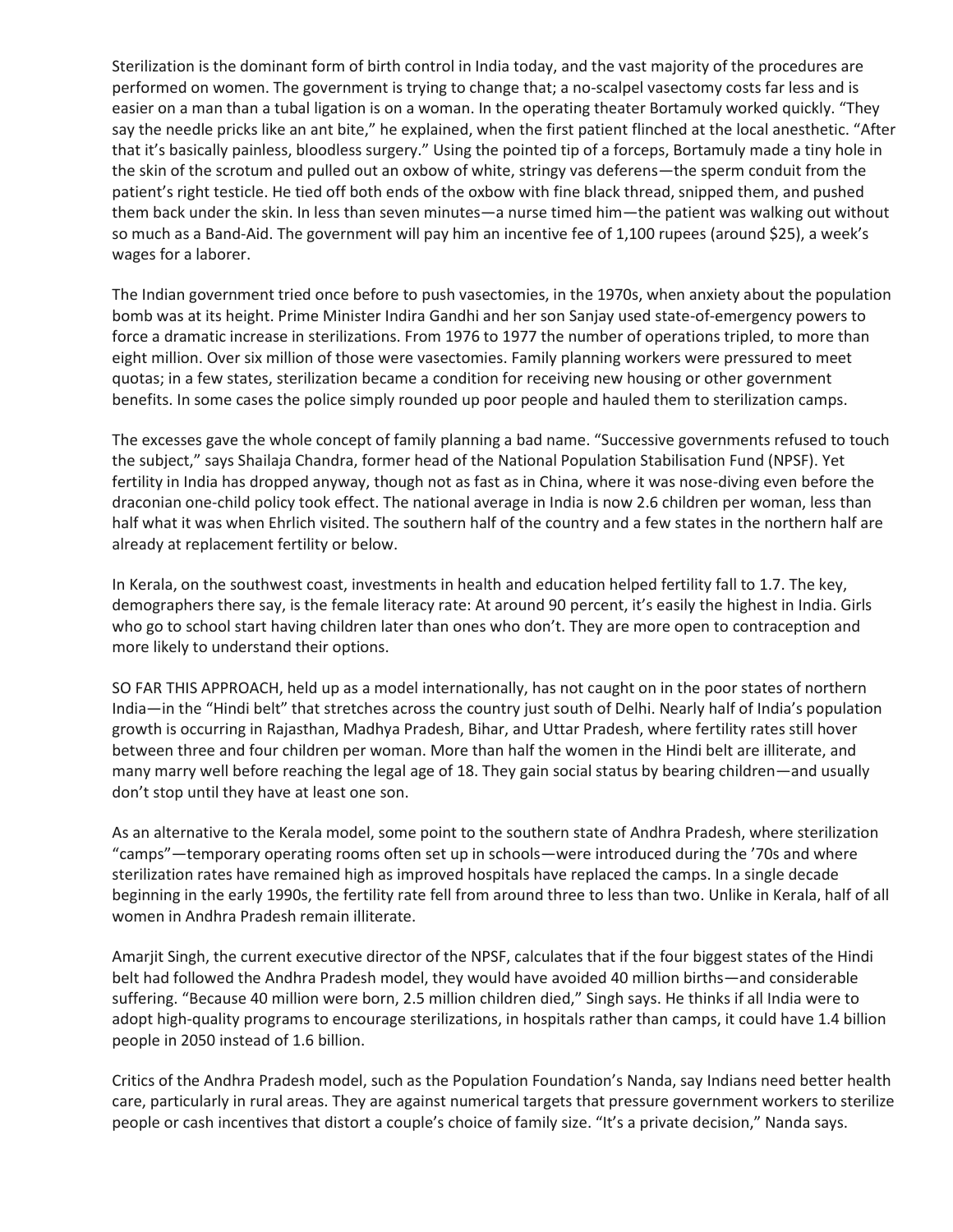Sterilization is the dominant form of birth control in India today, and the vast majority of the procedures are performed on women. The government is trying to change that; a no-scalpel vasectomy costs far less and is easier on a man than a tubal ligation is on a woman. In the operating theater Bortamuly worked quickly. "They say the needle pricks like an ant bite," he explained, when the first patient flinched at the local anesthetic. "After that it's basically painless, bloodless surgery." Using the pointed tip of a forceps, Bortamuly made a tiny hole in the skin of the scrotum and pulled out an oxbow of white, stringy vas deferens—the sperm conduit from the patient's right testicle. He tied off both ends of the oxbow with fine black thread, snipped them, and pushed them back under the skin. In less than seven minutes—a nurse timed him—the patient was walking out without so much as a Band-Aid. The government will pay him an incentive fee of 1,100 rupees (around \$25), a week's wages for a laborer.

The Indian government tried once before to push vasectomies, in the 1970s, when anxiety about the population bomb was at its height. Prime Minister Indira Gandhi and her son Sanjay used state-of-emergency powers to force a dramatic increase in sterilizations. From 1976 to 1977 the number of operations tripled, to more than eight million. Over six million of those were vasectomies. Family planning workers were pressured to meet quotas; in a few states, sterilization became a condition for receiving new housing or other government benefits. In some cases the police simply rounded up poor people and hauled them to sterilization camps.

The excesses gave the whole concept of family planning a bad name. "Successive governments refused to touch the subject," says Shailaja Chandra, former head of the National Population Stabilisation Fund (NPSF). Yet fertility in India has dropped anyway, though not as fast as in China, where it was nose-diving even before the draconian one-child policy took effect. The national average in India is now 2.6 children per woman, less than half what it was when Ehrlich visited. The southern half of the country and a few states in the northern half are already at replacement fertility or below.

In Kerala, on the southwest coast, investments in health and education helped fertility fall to 1.7. The key, demographers there say, is the female literacy rate: At around 90 percent, it's easily the highest in India. Girls who go to school start having children later than ones who don't. They are more open to contraception and more likely to understand their options.

SO FAR THIS APPROACH, held up as a model internationally, has not caught on in the poor states of northern India—in the "Hindi belt" that stretches across the country just south of Delhi. Nearly half of India's population growth is occurring in Rajasthan, Madhya Pradesh, Bihar, and Uttar Pradesh, where fertility rates still hover between three and four children per woman. More than half the women in the Hindi belt are illiterate, and many marry well before reaching the legal age of 18. They gain social status by bearing children—and usually don't stop until they have at least one son.

As an alternative to the Kerala model, some point to the southern state of Andhra Pradesh, where sterilization "camps"—temporary operating rooms often set up in schools—were introduced during the '70s and where sterilization rates have remained high as improved hospitals have replaced the camps. In a single decade beginning in the early 1990s, the fertility rate fell from around three to less than two. Unlike in Kerala, half of all women in Andhra Pradesh remain illiterate.

Amarjit Singh, the current executive director of the NPSF, calculates that if the four biggest states of the Hindi belt had followed the Andhra Pradesh model, they would have avoided 40 million births—and considerable suffering. "Because 40 million were born, 2.5 million children died," Singh says. He thinks if all India were to adopt high-quality programs to encourage sterilizations, in hospitals rather than camps, it could have 1.4 billion people in 2050 instead of 1.6 billion.

Critics of the Andhra Pradesh model, such as the Population Foundation's Nanda, say Indians need better health care, particularly in rural areas. They are against numerical targets that pressure government workers to sterilize people or cash incentives that distort a couple's choice of family size. "It's a private decision," Nanda says.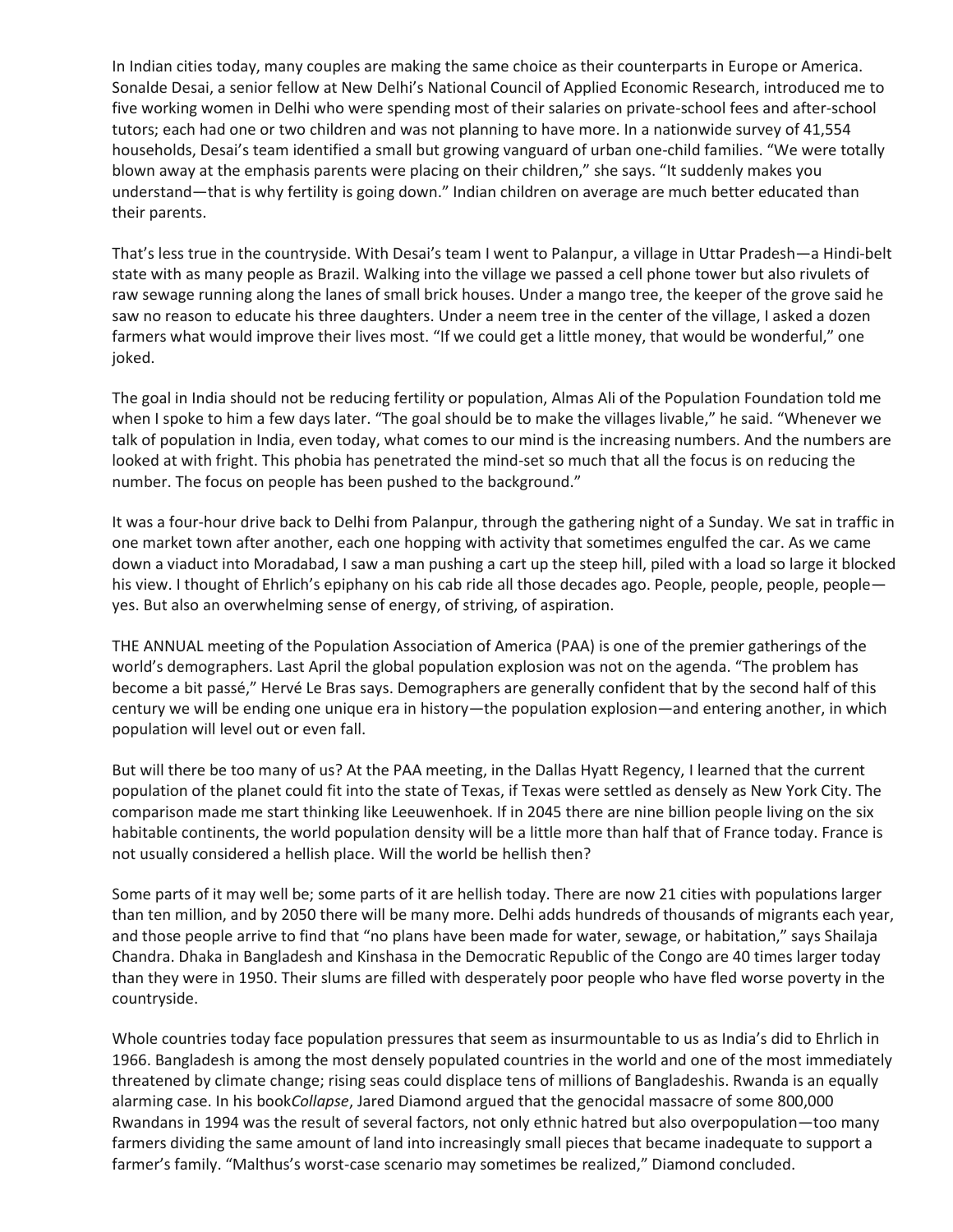In Indian cities today, many couples are making the same choice as their counterparts in Europe or America. Sonalde Desai, a senior fellow at New Delhi's National Council of Applied Economic Research, introduced me to five working women in Delhi who were spending most of their salaries on private-school fees and after-school tutors; each had one or two children and was not planning to have more. In a nationwide survey of 41,554 households, Desai's team identified a small but growing vanguard of urban one-child families. "We were totally blown away at the emphasis parents were placing on their children," she says. "It suddenly makes you understand—that is why fertility is going down." Indian children on average are much better educated than their parents.

That's less true in the countryside. With Desai's team I went to Palanpur, a village in Uttar Pradesh—a Hindi-belt state with as many people as Brazil. Walking into the village we passed a cell phone tower but also rivulets of raw sewage running along the lanes of small brick houses. Under a mango tree, the keeper of the grove said he saw no reason to educate his three daughters. Under a neem tree in the center of the village, I asked a dozen farmers what would improve their lives most. "If we could get a little money, that would be wonderful," one joked.

The goal in India should not be reducing fertility or population, Almas Ali of the Population Foundation told me when I spoke to him a few days later. "The goal should be to make the villages livable," he said. "Whenever we talk of population in India, even today, what comes to our mind is the increasing numbers. And the numbers are looked at with fright. This phobia has penetrated the mind-set so much that all the focus is on reducing the number. The focus on people has been pushed to the background."

It was a four-hour drive back to Delhi from Palanpur, through the gathering night of a Sunday. We sat in traffic in one market town after another, each one hopping with activity that sometimes engulfed the car. As we came down a viaduct into Moradabad, I saw a man pushing a cart up the steep hill, piled with a load so large it blocked his view. I thought of Ehrlich's epiphany on his cab ride all those decades ago. People, people, people, people yes. But also an overwhelming sense of energy, of striving, of aspiration.

THE ANNUAL meeting of the Population Association of America (PAA) is one of the premier gatherings of the world's demographers. Last April the global population explosion was not on the agenda. "The problem has become a bit passé," Hervé Le Bras says. Demographers are generally confident that by the second half of this century we will be ending one unique era in history—the population explosion—and entering another, in which population will level out or even fall.

But will there be too many of us? At the PAA meeting, in the Dallas Hyatt Regency, I learned that the current population of the planet could fit into the state of Texas, if Texas were settled as densely as New York City. The comparison made me start thinking like Leeuwenhoek. If in 2045 there are nine billion people living on the six habitable continents, the world population density will be a little more than half that of France today. France is not usually considered a hellish place. Will the world be hellish then?

Some parts of it may well be; some parts of it are hellish today. There are now 21 cities with populations larger than ten million, and by 2050 there will be many more. Delhi adds hundreds of thousands of migrants each year, and those people arrive to find that "no plans have been made for water, sewage, or habitation," says Shailaja Chandra. Dhaka in Bangladesh and Kinshasa in the Democratic Republic of the Congo are 40 times larger today than they were in 1950. Their slums are filled with desperately poor people who have fled worse poverty in the countryside.

Whole countries today face population pressures that seem as insurmountable to us as India's did to Ehrlich in 1966. Bangladesh is among the most densely populated countries in the world and one of the most immediately threatened by climate change; rising seas could displace tens of millions of Bangladeshis. Rwanda is an equally alarming case. In his book*Collapse*, Jared Diamond argued that the genocidal massacre of some 800,000 Rwandans in 1994 was the result of several factors, not only ethnic hatred but also overpopulation—too many farmers dividing the same amount of land into increasingly small pieces that became inadequate to support a farmer's family. "Malthus's worst-case scenario may sometimes be realized," Diamond concluded.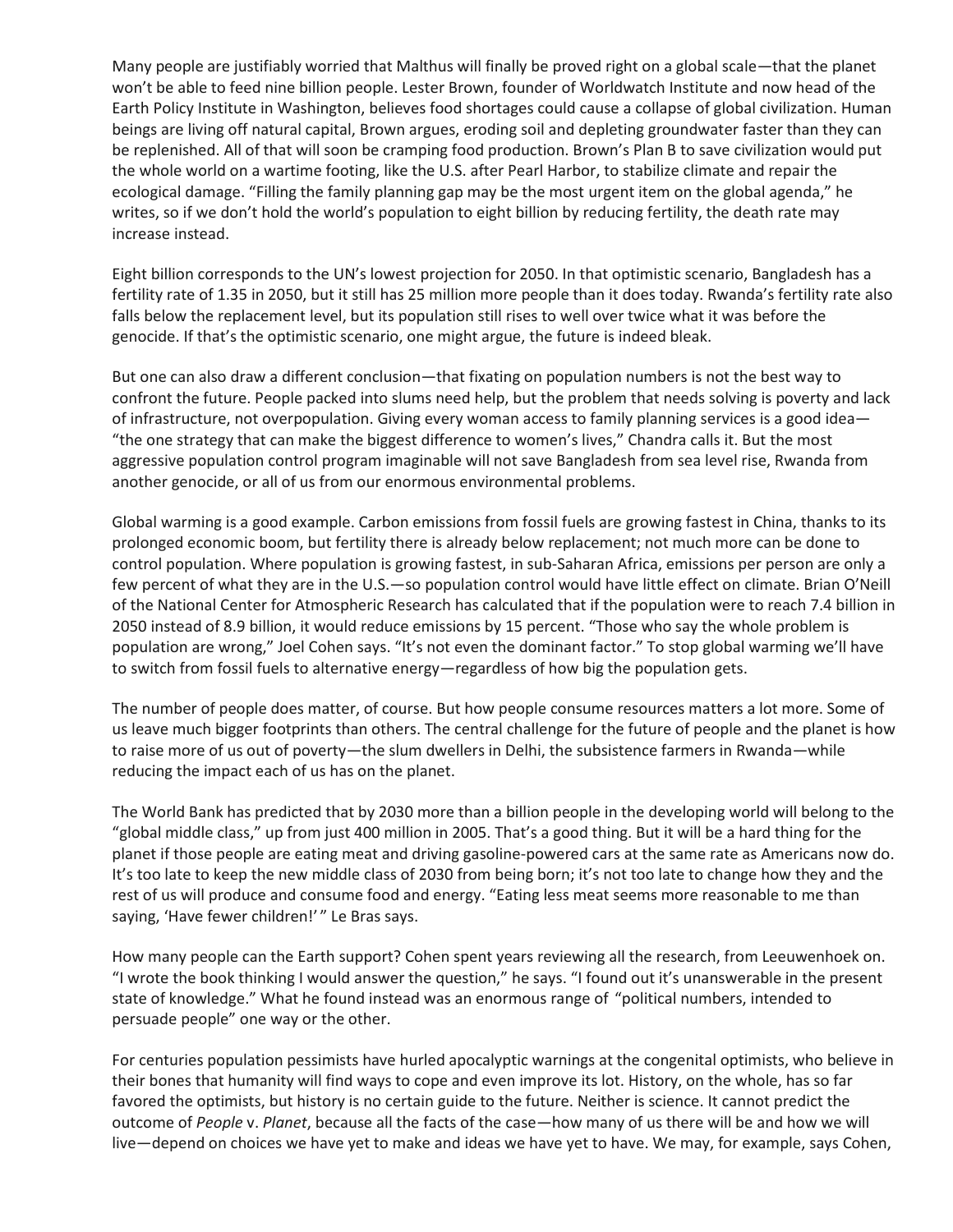Many people are justifiably worried that Malthus will finally be proved right on a global scale—that the planet won't be able to feed nine billion people. Lester Brown, founder of Worldwatch Institute and now head of the Earth Policy Institute in Washington, believes food shortages could cause a collapse of global civilization. Human beings are living off natural capital, Brown argues, eroding soil and depleting groundwater faster than they can be replenished. All of that will soon be cramping food production. Brown's Plan B to save civilization would put the whole world on a wartime footing, like the U.S. after Pearl Harbor, to stabilize climate and repair the ecological damage. "Filling the family planning gap may be the most urgent item on the global agenda," he writes, so if we don't hold the world's population to eight billion by reducing fertility, the death rate may increase instead.

Eight billion corresponds to the UN's lowest projection for 2050. In that optimistic scenario, Bangladesh has a fertility rate of 1.35 in 2050, but it still has 25 million more people than it does today. Rwanda's fertility rate also falls below the replacement level, but its population still rises to well over twice what it was before the genocide. If that's the optimistic scenario, one might argue, the future is indeed bleak.

But one can also draw a different conclusion—that fixating on population numbers is not the best way to confront the future. People packed into slums need help, but the problem that needs solving is poverty and lack of infrastructure, not overpopulation. Giving every woman access to family planning services is a good idea— "the one strategy that can make the biggest difference to women's lives," Chandra calls it. But the most aggressive population control program imaginable will not save Bangladesh from sea level rise, Rwanda from another genocide, or all of us from our enormous environmental problems.

Global warming is a good example. Carbon emissions from fossil fuels are growing fastest in China, thanks to its prolonged economic boom, but fertility there is already below replacement; not much more can be done to control population. Where population is growing fastest, in sub-Saharan Africa, emissions per person are only a few percent of what they are in the U.S.—so population control would have little effect on climate. Brian O'Neill of the National Center for Atmospheric Research has calculated that if the population were to reach 7.4 billion in 2050 instead of 8.9 billion, it would reduce emissions by 15 percent. "Those who say the whole problem is population are wrong," Joel Cohen says. "It's not even the dominant factor." To stop global warming we'll have to switch from fossil fuels to alternative energy—regardless of how big the population gets.

The number of people does matter, of course. But how people consume resources matters a lot more. Some of us leave much bigger footprints than others. The central challenge for the future of people and the planet is how to raise more of us out of poverty—the slum dwellers in Delhi, the subsistence farmers in Rwanda—while reducing the impact each of us has on the planet.

The World Bank has predicted that by 2030 more than a billion people in the developing world will belong to the "global middle class," up from just 400 million in 2005. That's a good thing. But it will be a hard thing for the planet if those people are eating meat and driving gasoline-powered cars at the same rate as Americans now do. It's too late to keep the new middle class of 2030 from being born; it's not too late to change how they and the rest of us will produce and consume food and energy. "Eating less meat seems more reasonable to me than saying, 'Have fewer children!' " Le Bras says.

How many people can the Earth support? Cohen spent years reviewing all the research, from Leeuwenhoek on. "I wrote the book thinking I would answer the question," he says. "I found out it's unanswerable in the present state of knowledge." What he found instead was an enormous range of  "political numbers, intended to persuade people" one way or the other.

For centuries population pessimists have hurled apocalyptic warnings at the congenital optimists, who believe in their bones that humanity will find ways to cope and even improve its lot. History, on the whole, has so far favored the optimists, but history is no certain guide to the future. Neither is science. It cannot predict the outcome of *People* v. *Planet*, because all the facts of the case—how many of us there will be and how we will live—depend on choices we have yet to make and ideas we have yet to have. We may, for example, says Cohen,